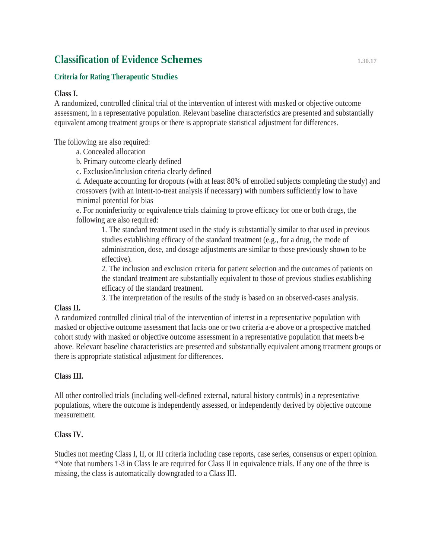# **Classification of Evidence Schemes 1.30.17**

## **Criteria for Rating Therapeutic Studies**

## **Class I.**

A randomized, controlled clinical trial of the intervention of interest with masked or objective outcome assessment, in a representative population. Relevant baseline characteristics are presented and substantially equivalent among treatment groups or there is appropriate statistical adjustment for differences.

The following are also required:

- a. Concealed allocation
- b. Primary outcome clearly defined

c. Exclusion/inclusion criteria clearly defined

d. Adequate accounting for dropouts (with at least 80% of enrolled subjects completing the study) and crossovers (with an intent-to-treat analysis if necessary) with numbers sufficiently low to have minimal potential for bias

e. For noninferiority or equivalence trials claiming to prove efficacy for one or both drugs, the following are also required:

1. The standard treatment used in the study is substantially similar to that used in previous studies establishing efficacy of the standard treatment (e.g., for a drug, the mode of administration, dose, and dosage adjustments are similar to those previously shown to be effective).

2. The inclusion and exclusion criteria for patient selection and the outcomes of patients on the standard treatment are substantially equivalent to those of previous studies establishing efficacy of the standard treatment.

3. The interpretation of the results of the study is based on an observed-cases analysis.

## **Class II.**

A randomized controlled clinical trial of the intervention of interest in a representative population with masked or objective outcome assessment that lacks one or two criteria a-e above or a prospective matched cohort study with masked or objective outcome assessment in a representative population that meets b-e above. Relevant baseline characteristics are presented and substantially equivalent among treatment groups or there is appropriate statistical adjustment for differences.

# **Class III.**

All other controlled trials (including well-defined external, natural history controls) in a representative populations, where the outcome is independently assessed, or independently derived by objective outcome measurement.

# **Class IV.**

Studies not meeting Class I, II, or III criteria including case reports, case series, consensus or expert opinion. \*Note that numbers 1-3 in Class Ie are required for Class II in equivalence trials. If any one of the three is missing, the class is automatically downgraded to a Class III.